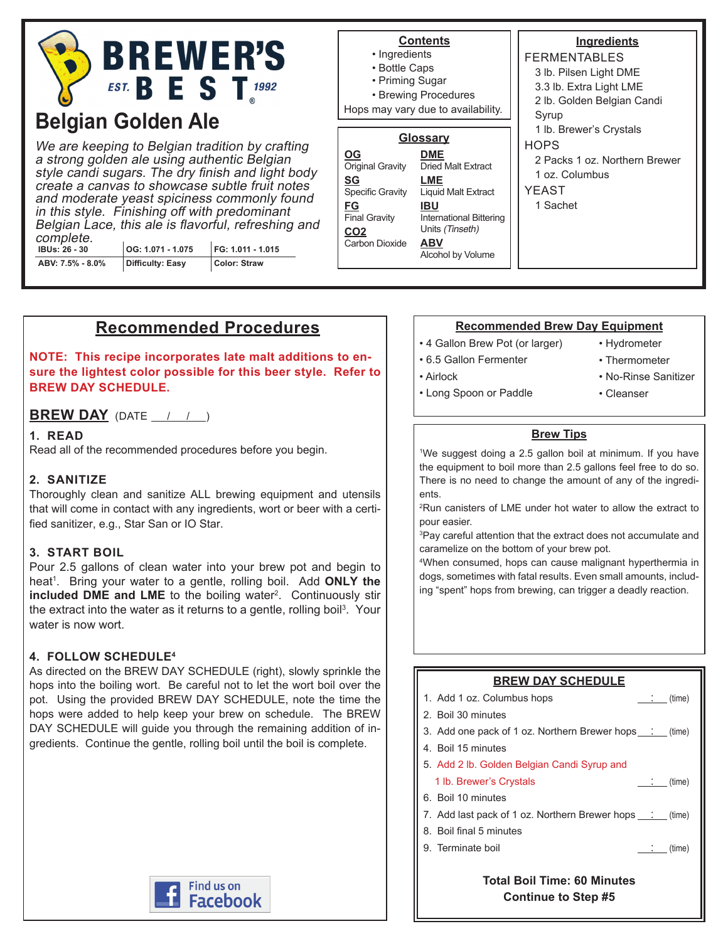

# **Belgian Golden Ale**

We are keeping to Belgian tradition by crafting a strong golden ale using authentic Belgian style candi sugars. The dry finish and light body create a canvas to showcase subtle fruit notes and moderate yeast spiciness commonly found in this style. Finishing off with predominant Belgian Lace, this ale is flavorful, refreshing and complete. **IBUs: 26 - 30 OG: 1.071 - 1.075 FG: 1.011 - 1.015**

**ABV: 7.5% - 8.0% Difficulty: Easy Color: Straw** **Contents**

- Ingredients
- Bottle Caps
- Priming Sugar

**OG**

**SG**

**FG**

• Brewing Procedures

Hops may vary due to availability.

## **Glossary**

**DME** Dried Malt Extract **LME** Liquid Malt Extract **IBU** International Bittering Units (Tinseth) **ABV** Alcohol by Volume **Original Gravity** Specific Gravity **Final Gravity CO2** Carbon Dioxide

#### **Ingredients** FERMENTABLES 3 lb. Pilsen Light DME 3.3 lb. Extra Light LME 2 lb. Golden Belgian Candi **Syrup** 1 lb. Brewer's Crystals **HOPS** 2 Packs 1 oz. Northern Brewer 1 oz. Columbus YEAST 1 Sachet

# **Recommended Procedures**

**NOTE: This recipe incorporates late malt additions to ensure the lightest color possible for this beer style. Refer to BREW DAY SCHEDULE.**

#### **BREW DAY** (DATE  $\frac{1}{1}$  /  $\frac{1}{1}$ )

#### **1. READ**

Read all of the recommended procedures before you begin.

#### **2. SANITIZE**

Thoroughly clean and sanitize ALL brewing equipment and utensils that will come in contact with any ingredients, wort or beer with a certified sanitizer, e.g., Star San or IO Star.

#### **3. START BOIL**

Pour 2.5 gallons of clean water into your brew pot and begin to heat<sup>1</sup>. Bring your water to a gentle, rolling boil. Add **ONLY the included DME and LME** to the boiling water<sup>2</sup>. Continuously stir the extract into the water as it returns to a gentle, rolling boil $^3$ . Your water is now wort.

#### **4. FOLLOW SCHEDULE4**

As directed on the BREW DAY SCHEDULE (right), slowly sprinkle the hops into the boiling wort. Be careful not to let the wort boil over the pot. Using the provided BREW DAY SCHEDULE, note the time the hops were added to help keep your brew on schedule. The BREW DAY SCHEDULE will guide you through the remaining addition of ingredients. Continue the gentle, rolling boil until the boil is complete.



#### **Recommended Brew Day Equipment**

- 4 Gallon Brew Pot (or larger)
- 6.5 Gallon Fermenter
- Hydrometer

• Airlock

- Thermometer
- No-Rinse Sanitizer • Cleanser
- Long Spoon or Paddle
	- **Brew Tips**

1 We suggest doing a 2.5 gallon boil at minimum. If you have the equipment to boil more than 2.5 gallons feel free to do so. There is no need to change the amount of any of the ingredients.

2 Run canisters of LME under hot water to allow the extract to pour easier.

3 Pay careful attention that the extract does not accumulate and caramelize on the bottom of your brew pot.

4 When consumed, hops can cause malignant hyperthermia in dogs, sometimes with fatal results. Even small amounts, including "spent" hops from brewing, can trigger a deadly reaction.

#### **BREW DAY SCHEDULE**

| 1. Add 1 oz. Columbus hops<br>(time)                                |
|---------------------------------------------------------------------|
| 2. Boil 30 minutes                                                  |
| 3. Add one pack of 1 oz. Northern Brewer hops [101] (time)          |
| 4. Boil 15 minutes                                                  |
| 5. Add 2 lb. Golden Belgian Candi Syrup and                         |
| 1 lb. Brewer's Crystals<br>$\qquad \qquad \therefore \qquad$ (time) |
| 6. Boil 10 minutes                                                  |
| 7. Add last pack of 1 oz. Northern Brewer hops : (time)             |
| 8. Boil final 5 minutes                                             |
| 9. Terminate boil<br>(time)                                         |
|                                                                     |

**Total Boil Time: 60 Minutes Continue to Step #5**